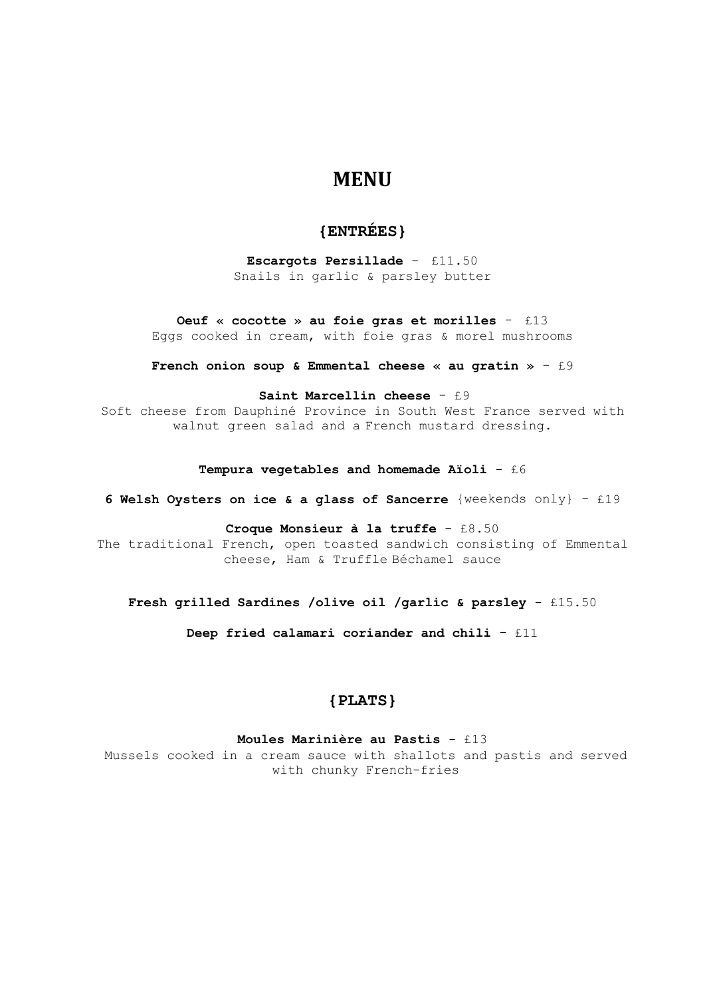# **MENU**

# **{ENTRÉES}**

**Escargots Persillade** - £11.50 Snails in garlic & parsley butter

**Oeuf « cocotte » au foie gras et morilles** - £13 Eggs cooked in cream, with foie gras & morel mushrooms

**French onion soup & Emmental cheese « au gratin »** - £9

**Saint Marcellin cheese** - £9

Soft cheese from Dauphiné Province in South West France served with walnut green salad and a French mustard dressing.

#### **Tempura vegetables and homemade Aïoli** - £6

**6 Welsh Oysters on ice & a glass of Sancerre** {weekends only} - £19

### **Croque Monsieur à la truffe** - £8.50

The traditional French, open toasted sandwich consisting of Emmental cheese, Ham & Truffle Béchamel sauce

# **Fresh grilled Sardines /olive oil /garlic & parsley** - £15.50

**Deep fried calamari coriander and chili** - £11

# **{PLATS}**

#### **Moules Marinière au Pastis** - £13

Mussels cooked in a cream sauce with shallots and pastis and served with chunky French-fries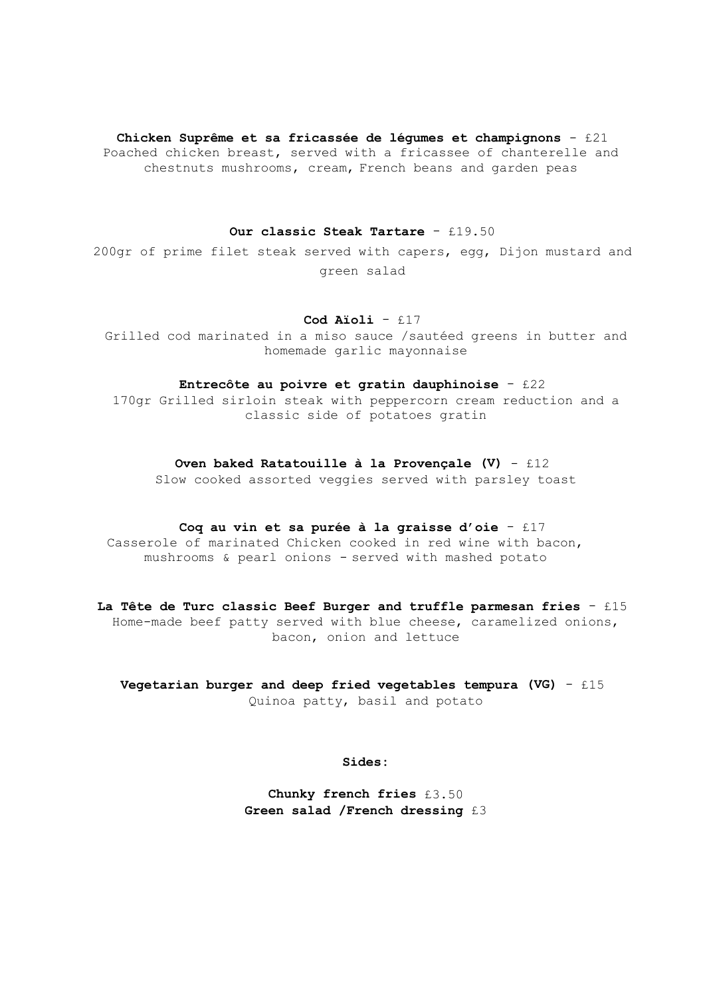#### **Chicken Suprême et sa fricassée de légumes et champignons** - £21

Poached chicken breast, served with a fricassee of chanterelle and chestnuts mushrooms, cream, French beans and garden peas

## **Our classic Steak Tartare** - £19.50

200gr of prime filet steak served with capers, egg, Dijon mustard and green salad

### **Cod Aïoli** - £17

Grilled cod marinated in a miso sauce /sautéed greens in butter and homemade garlic mayonnaise

### **Entrecôte au poivre et gratin dauphinoise** - £22

170gr Grilled sirloin steak with peppercorn cream reduction and a classic side of potatoes gratin

#### **Oven baked Ratatouille à la Provençale (V)** - £12

Slow cooked assorted veggies served with parsley toast

#### **Coq au vin et sa purée à la graisse d'oie** - £17

Casserole of marinated Chicken cooked in red wine with bacon, mushrooms & pearl onions - served with mashed potato

# **La Tête de Turc classic Beef Burger and truffle parmesan fries** - £15 Home-made beef patty served with blue cheese, caramelized onions, bacon, onion and lettuce

**Vegetarian burger and deep fried vegetables tempura (VG)** - £15 Quinoa patty, basil and potato

**Sides:**

**Chunky french fries** £3.50 **Green salad /French dressing** £3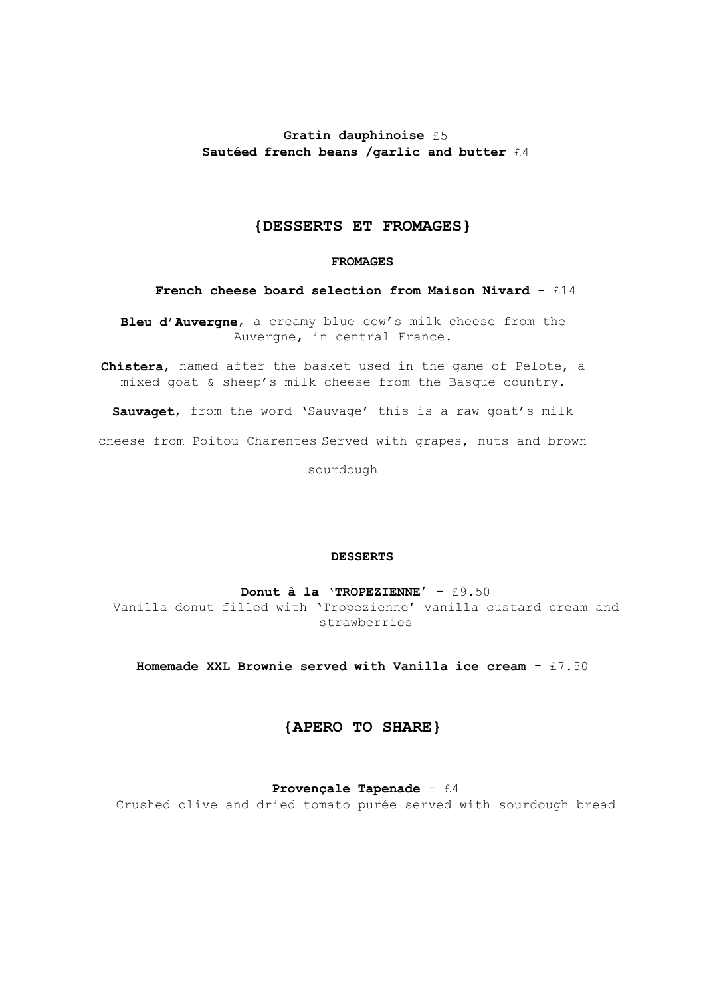# **Gratin dauphinoise** £5 **Sautéed french beans /garlic and butter** £4

# **{DESSERTS ET FROMAGES}**

### **FROMAGES**

# **French cheese board selection from Maison Nivard** - £14

**Bleu d'Auvergne**, a creamy blue cow's milk cheese from the Auvergne, in central France.

**Chistera**, named after the basket used in the game of Pelote, a mixed goat & sheep's milk cheese from the Basque country.

**Sauvaget**, from the word 'Sauvage' this is a raw goat's milk cheese from Poitou Charentes Served with grapes, nuts and brown

sourdough

#### **DESSERTS**

**Donut à la 'TROPEZIENNE'** - £9.50 Vanilla donut filled with 'Tropezienne' vanilla custard cream and strawberries

**Homemade XXL Brownie served with Vanilla ice cream** - £7.50

# **{APERO TO SHARE}**

### **Provençale Tapenade** - £4

Crushed olive and dried tomato purée served with sourdough bread